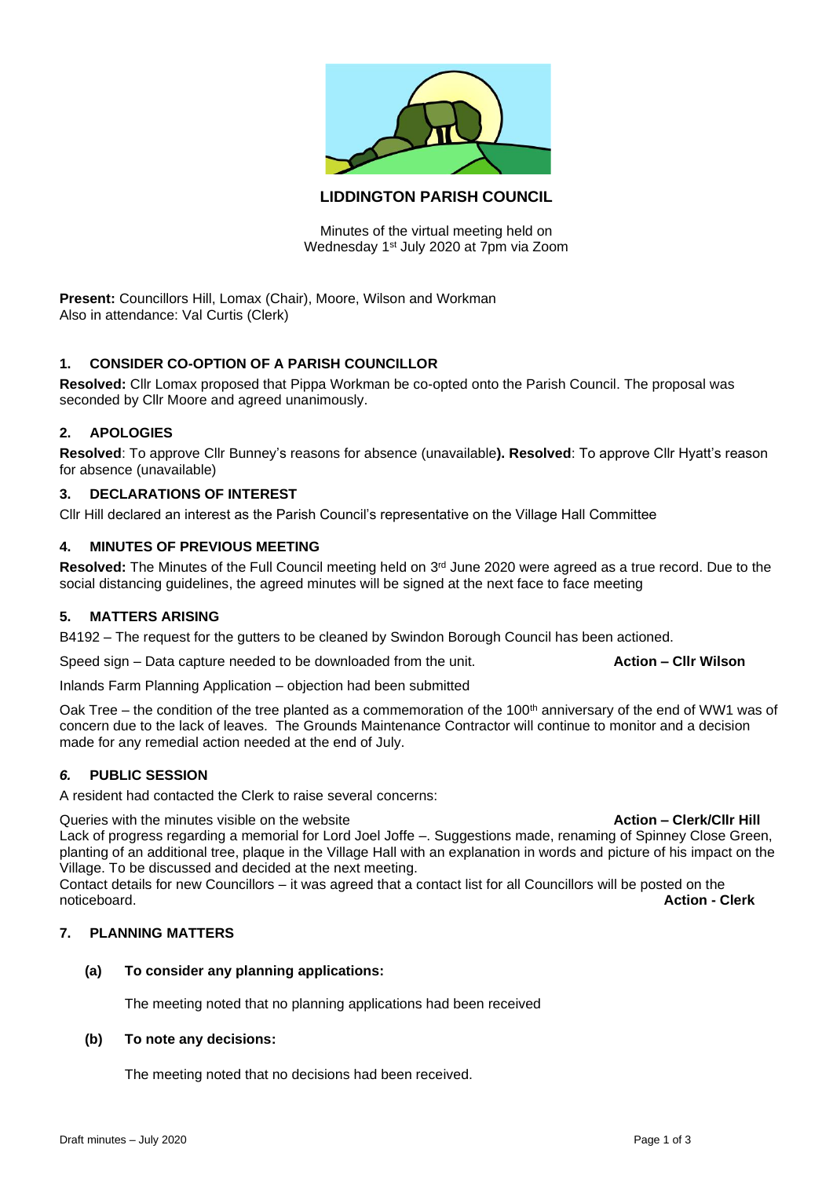

# **LIDDINGTON PARISH COUNCIL**

Minutes of the virtual meeting held on Wednesday 1st July 2020 at 7pm via Zoom

**Present:** Councillors Hill, Lomax (Chair), Moore, Wilson and Workman Also in attendance: Val Curtis (Clerk)

## **1. CONSIDER CO-OPTION OF A PARISH COUNCILLOR**

**Resolved:** Cllr Lomax proposed that Pippa Workman be co-opted onto the Parish Council. The proposal was seconded by Cllr Moore and agreed unanimously.

### **2. APOLOGIES**

**Resolved**: To approve Cllr Bunney's reasons for absence (unavailable**). Resolved**: To approve Cllr Hyatt's reason for absence (unavailable)

### **3. DECLARATIONS OF INTEREST**

Cllr Hill declared an interest as the Parish Council's representative on the Village Hall Committee

### **4. MINUTES OF PREVIOUS MEETING**

Resolved: The Minutes of the Full Council meeting held on 3<sup>rd</sup> June 2020 were agreed as a true record. Due to the social distancing guidelines, the agreed minutes will be signed at the next face to face meeting

### **5. MATTERS ARISING**

B4192 – The request for the gutters to be cleaned by Swindon Borough Council has been actioned.

Speed sign – Data capture needed to be downloaded from the unit. **Action – Cllr Wilson**

Inlands Farm Planning Application – objection had been submitted

Oak Tree – the condition of the tree planted as a commemoration of the 100<sup>th</sup> anniversary of the end of WW1 was of concern due to the lack of leaves. The Grounds Maintenance Contractor will continue to monitor and a decision made for any remedial action needed at the end of July.

### *6.* **PUBLIC SESSION**

A resident had contacted the Clerk to raise several concerns:

Queries with the minutes visible on the website **Action – Clerk/Cllr Hill Action – Clerk/Cllr Hill** Lack of progress regarding a memorial for Lord Joel Joffe –. Suggestions made, renaming of Spinney Close Green, planting of an additional tree, plaque in the Village Hall with an explanation in words and picture of his impact on the Village. To be discussed and decided at the next meeting.

Contact details for new Councillors – it was agreed that a contact list for all Councillors will be posted on the noticeboard. **Action - Clerk**

# **7. PLANNING MATTERS**

### **(a) To consider any planning applications:**

The meeting noted that no planning applications had been received

### **(b) To note any decisions:**

The meeting noted that no decisions had been received.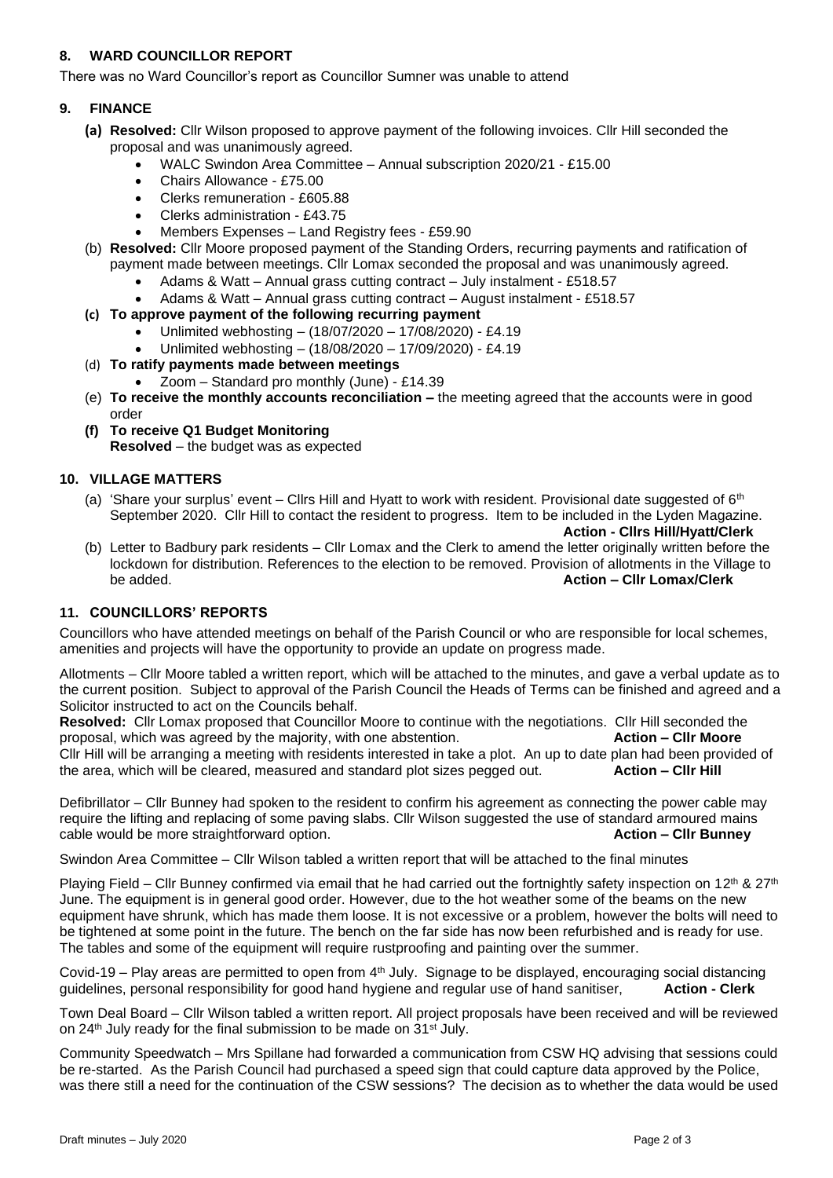# **8. WARD COUNCILLOR REPORT**

There was no Ward Councillor's report as Councillor Sumner was unable to attend

### **9. FINANCE**

- **(a) Resolved:** Cllr Wilson proposed to approve payment of the following invoices. Cllr Hill seconded the proposal and was unanimously agreed.
	- WALC Swindon Area Committee Annual subscription 2020/21 £15.00
	- Chairs Allowance £75.00
	- Clerks remuneration £605.88
	- Clerks administration £43.75
	- Members Expenses Land Registry fees £59.90
- (b) **Resolved:** Cllr Moore proposed payment of the Standing Orders, recurring payments and ratification of payment made between meetings. Cllr Lomax seconded the proposal and was unanimously agreed.
	- Adams & Watt Annual grass cutting contract July instalment £518.57
	- Adams & Watt Annual grass cutting contract August instalment £518.57
- **(c) To approve payment of the following recurring payment**
	- Unlimited webhosting (18/07/2020 17/08/2020) £4.19
	- Unlimited webhosting (18/08/2020 17/09/2020) £4.19
- (d) **To ratify payments made between meetings**
	- Zoom Standard pro monthly (June) £14.39
- (e) **To receive the monthly accounts reconciliation –** the meeting agreed that the accounts were in good order
- **(f) To receive Q1 Budget Monitoring Resolved** – the budget was as expected

#### **10. VILLAGE MATTERS**

(a) 'Share your surplus' event – Cllrs Hill and Hyatt to work with resident. Provisional date suggested of  $6<sup>th</sup>$ September 2020. Cllr Hill to contact the resident to progress. Item to be included in the Lyden Magazine.

```
Action - Cllrs Hill/Hyatt/Clerk
```
(b) Letter to Badbury park residents – Cllr Lomax and the Clerk to amend the letter originally written before the lockdown for distribution. References to the election to be removed. Provision of allotments in the Village to be added. **Action – Cllr Lomax/Clerk**

### **11. COUNCILLORS' REPORTS**

Councillors who have attended meetings on behalf of the Parish Council or who are responsible for local schemes, amenities and projects will have the opportunity to provide an update on progress made.

Allotments – Cllr Moore tabled a written report, which will be attached to the minutes, and gave a verbal update as to the current position. Subject to approval of the Parish Council the Heads of Terms can be finished and agreed and a Solicitor instructed to act on the Councils behalf.

**Resolved:** Cllr Lomax proposed that Councillor Moore to continue with the negotiations. Cllr Hill seconded the proposal, which was agreed by the majority, with one abstention. **Action – Cllr Moore** Cllr Hill will be arranging a meeting with residents interested in take a plot. An up to date plan had been provided of the area, which will be cleared, measured and standard plot sizes pegged out. **Action – Cllr Hill**

Defibrillator – Cllr Bunney had spoken to the resident to confirm his agreement as connecting the power cable may require the lifting and replacing of some paving slabs. Cllr Wilson suggested the use of standard armoured mains cable would be more straightforward option. **Action – Cllr Bunney**

Swindon Area Committee – Cllr Wilson tabled a written report that will be attached to the final minutes

Playing Field – Cllr Bunney confirmed via email that he had carried out the fortnightly safety inspection on 12<sup>th</sup> & 27<sup>th</sup> June. The equipment is in general good order. However, due to the hot weather some of the beams on the new equipment have shrunk, which has made them loose. It is not excessive or a problem, however the bolts will need to be tightened at some point in the future. The bench on the far side has now been refurbished and is ready for use. The tables and some of the equipment will require rustproofing and painting over the summer.

Covid-19 – Play areas are permitted to open from  $4<sup>th</sup>$  July. Signage to be displayed, encouraging social distancing guidelines, personal responsibility for good hand hygiene and regular use of hand sanitiser, **Action - Clerk**

Town Deal Board – Cllr Wilson tabled a written report. All project proposals have been received and will be reviewed on 24<sup>th</sup> July ready for the final submission to be made on 31<sup>st</sup> July.

Community Speedwatch – Mrs Spillane had forwarded a communication from CSW HQ advising that sessions could be re-started. As the Parish Council had purchased a speed sign that could capture data approved by the Police, was there still a need for the continuation of the CSW sessions? The decision as to whether the data would be used